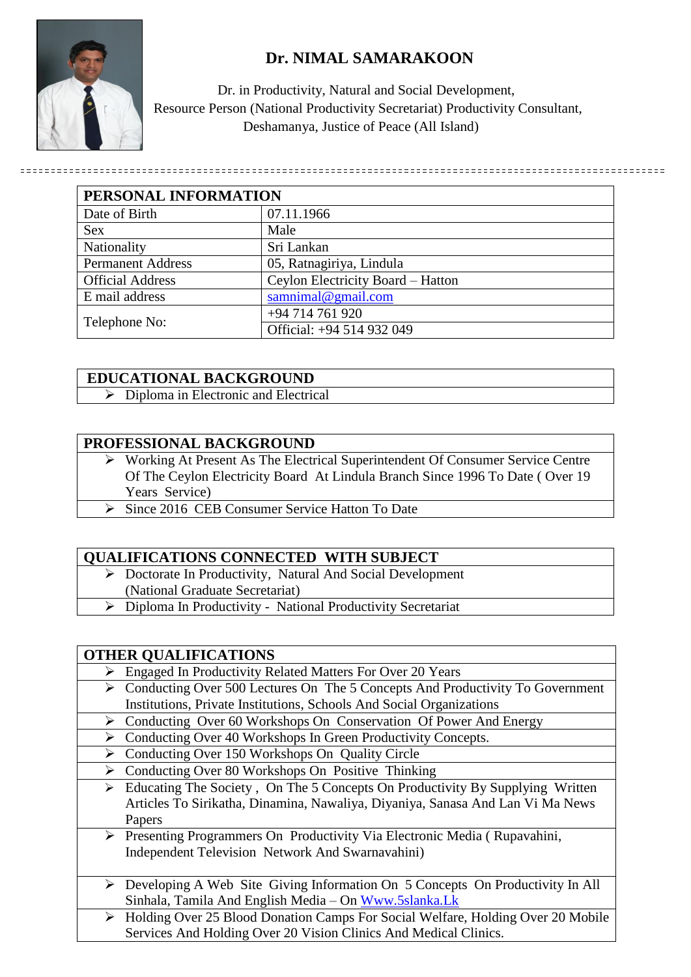

# **Dr. NIMAL SAMARAKOON**

 Dr. in Productivity, Natural and Social Development, Resource Person (National Productivity Secretariat) Productivity Consultant, Deshamanya, Justice of Peace (All Island)

| PERSONAL INFORMATION     |                                   |
|--------------------------|-----------------------------------|
| Date of Birth            | 07.11.1966                        |
| <b>Sex</b>               | Male                              |
| Nationality              | Sri Lankan                        |
| <b>Permanent Address</b> | 05, Ratnagiriya, Lindula          |
| <b>Official Address</b>  | Ceylon Electricity Board - Hatton |
| E mail address           | samnimal@gmail.com                |
| Telephone No:            | +94 714 761 920                   |
|                          | Official: +94 514 932 049         |

## **EDUCATIONAL BACKGROUND**

 $\triangleright$  Diploma in Electronic and Electrical

#### **PROFESSIONAL BACKGROUND**

- Working At Present As The Electrical Superintendent Of Consumer Service Centre Of The Ceylon Electricity Board At Lindula Branch Since 1996 To Date ( Over 19 Years Service)
- Since 2016 CEB Consumer Service Hatton To Date

#### **QUALIFICATIONS CONNECTED WITH SUBJECT**

- ▶ Doctorate In Productivity, Natural And Social Development
- (National Graduate Secretariat)
- Diploma In Productivity National Productivity Secretariat

#### **OTHER QUALIFICATIONS**

- Engaged In Productivity Related Matters For Over 20 Years
- Conducting Over 500 Lectures On The 5 Concepts And Productivity To Government Institutions, Private Institutions, Schools And Social Organizations
- ▶ Conducting Over 60 Workshops On Conservation Of Power And Energy
- ▶ Conducting Over 40 Workshops In Green Productivity Concepts.
- ▶ Conducting Over 150 Workshops On Quality Circle
- $\triangleright$  Conducting Over 80 Workshops On Positive Thinking
	- $\triangleright$  Educating The Society, On The 5 Concepts On Productivity By Supplying Written Articles To Sirikatha, Dinamina, Nawaliya, Diyaniya, Sanasa And Lan Vi Ma News Papers
	- Presenting Programmers On Productivity Via Electronic Media ( Rupavahini, Independent Television Network And Swarnavahini)
	- Developing A Web Site Giving Information On 5 Concepts On Productivity In All Sinhala, Tamila And English Media – On [Www.5slanka.Lk](http://www.5slanka.lk/)
	- ▶ Holding Over 25 Blood Donation Camps For Social Welfare, Holding Over 20 Mobile Services And Holding Over 20 Vision Clinics And Medical Clinics.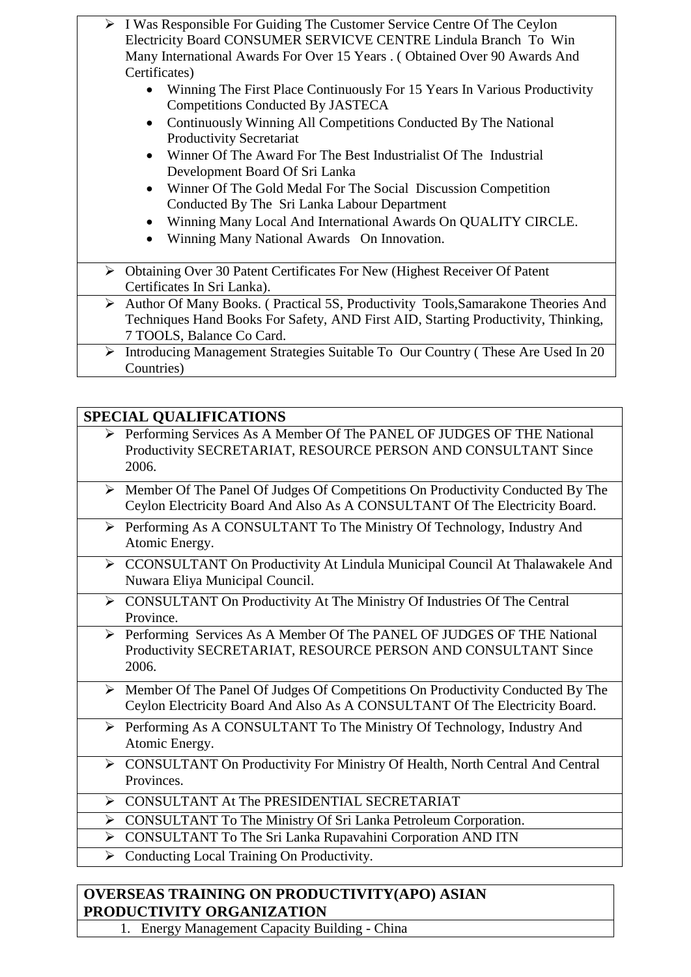| $\triangleright$ I Was Responsible For Guiding The Customer Service Centre Of The Ceylon   |  |
|--------------------------------------------------------------------------------------------|--|
| Electricity Board CONSUMER SERVICVE CENTRE Lindula Branch To Win                           |  |
| Many International Awards For Over 15 Years. (Obtained Over 90 Awards And                  |  |
| Certificates)                                                                              |  |
| Winning The First Place Continuously For 15 Years In Various Productivity                  |  |
| <b>Competitions Conducted By JASTECA</b>                                                   |  |
| Continuously Winning All Competitions Conducted By The National                            |  |
| <b>Productivity Secretariat</b>                                                            |  |
| Winner Of The Award For The Best Industrialist Of The Industrial                           |  |
| Development Board Of Sri Lanka                                                             |  |
| Winner Of The Gold Medal For The Social Discussion Competition<br>$\bullet$                |  |
| Conducted By The Sri Lanka Labour Department                                               |  |
| Winning Many Local And International Awards On QUALITY CIRCLE.                             |  |
| Winning Many National Awards On Innovation.                                                |  |
|                                                                                            |  |
| $\triangleright$ Obtaining Over 30 Patent Certificates For New (Highest Receiver Of Patent |  |
| Certificates In Sri Lanka).                                                                |  |
| Author Of Many Books. (Practical 5S, Productivity Tools, Samarakone Theories And<br>➤      |  |
| Techniques Hand Books For Safety, AND First AID, Starting Productivity, Thinking,          |  |
| 7 TOOLS, Balance Co Card.                                                                  |  |
| Introducing Management Strategies Suitable To Our Country (These Are Used In 20)<br>➤      |  |
| Countries)                                                                                 |  |

# **SPECIAL QUALIFICATIONS**

| > Performing Services As A Member Of The PANEL OF JUDGES OF THE National |
|--------------------------------------------------------------------------|
| Productivity SECRETARIAT, RESOURCE PERSON AND CONSULTANT Since           |
| 2006.                                                                    |

- $\triangleright$  Member Of The Panel Of Judges Of Competitions On Productivity Conducted By The Ceylon Electricity Board And Also As A CONSULTANT Of The Electricity Board.
- Performing As A CONSULTANT To The Ministry Of Technology, Industry And Atomic Energy.
- ▶ CCONSULTANT On Productivity At Lindula Municipal Council At Thalawakele And Nuwara Eliya Municipal Council.
- CONSULTANT On Productivity At The Ministry Of Industries Of The Central Province.
- Performing Services As A Member Of The PANEL OF JUDGES OF THE National Productivity SECRETARIAT, RESOURCE PERSON AND CONSULTANT Since 2006.
- Member Of The Panel Of Judges Of Competitions On Productivity Conducted By The Ceylon Electricity Board And Also As A CONSULTANT Of The Electricity Board.
- Performing As A CONSULTANT To The Ministry Of Technology, Industry And Atomic Energy.
- CONSULTANT On Productivity For Ministry Of Health, North Central And Central Provinces.
- CONSULTANT At The PRESIDENTIAL SECRETARIAT
- CONSULTANT To The Ministry Of Sri Lanka Petroleum Corporation.
- CONSULTANT To The Sri Lanka Rupavahini Corporation AND ITN
- $\triangleright$  Conducting Local Training On Productivity.

## **OVERSEAS TRAINING ON PRODUCTIVITY(APO) ASIAN PRODUCTIVITY ORGANIZATION**

1. Energy Management Capacity Building - China